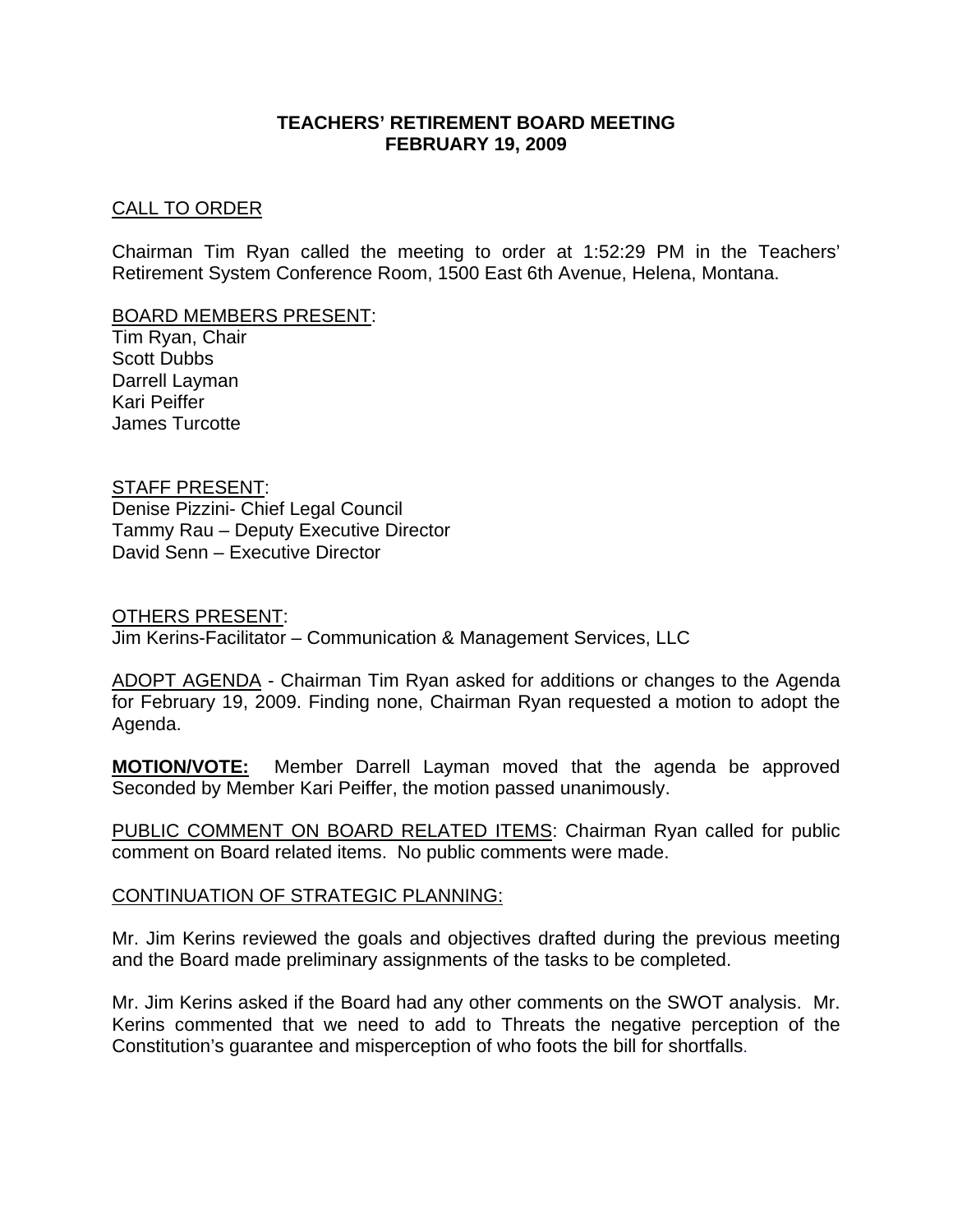# **TEACHERS' RETIREMENT BOARD MEETING FEBRUARY 19, 2009**

# CALL TO ORDER

Chairman Tim Ryan called the meeting to order at 1:52:29 PM in the Teachers' Retirement System Conference Room, 1500 East 6th Avenue, Helena, Montana.

## BOARD MEMBERS PRESENT:

Tim Ryan, Chair Scott Dubbs Darrell Layman Kari Peiffer James Turcotte

# STAFF PRESENT:

Denise Pizzini- Chief Legal Council Tammy Rau – Deputy Executive Director David Senn – Executive Director

#### OTHERS PRESENT:

Jim Kerins-Facilitator – Communication & Management Services, LLC

ADOPT AGENDA - Chairman Tim Ryan asked for additions or changes to the Agenda for February 19, 2009. Finding none, Chairman Ryan requested a motion to adopt the Agenda.

**MOTION/VOTE:** Member Darrell Layman moved that the agenda be approved Seconded by Member Kari Peiffer, the motion passed unanimously.

PUBLIC COMMENT ON BOARD RELATED ITEMS: Chairman Ryan called for public comment on Board related items. No public comments were made.

## CONTINUATION OF STRATEGIC PLANNING:

Mr. Jim Kerins reviewed the goals and objectives drafted during the previous meeting and the Board made preliminary assignments of the tasks to be completed.

Mr. Jim Kerins asked if the Board had any other comments on the SWOT analysis. Mr. Kerins commented that we need to add to Threats the negative perception of the Constitution's guarantee and misperception of who foots the bill for shortfalls.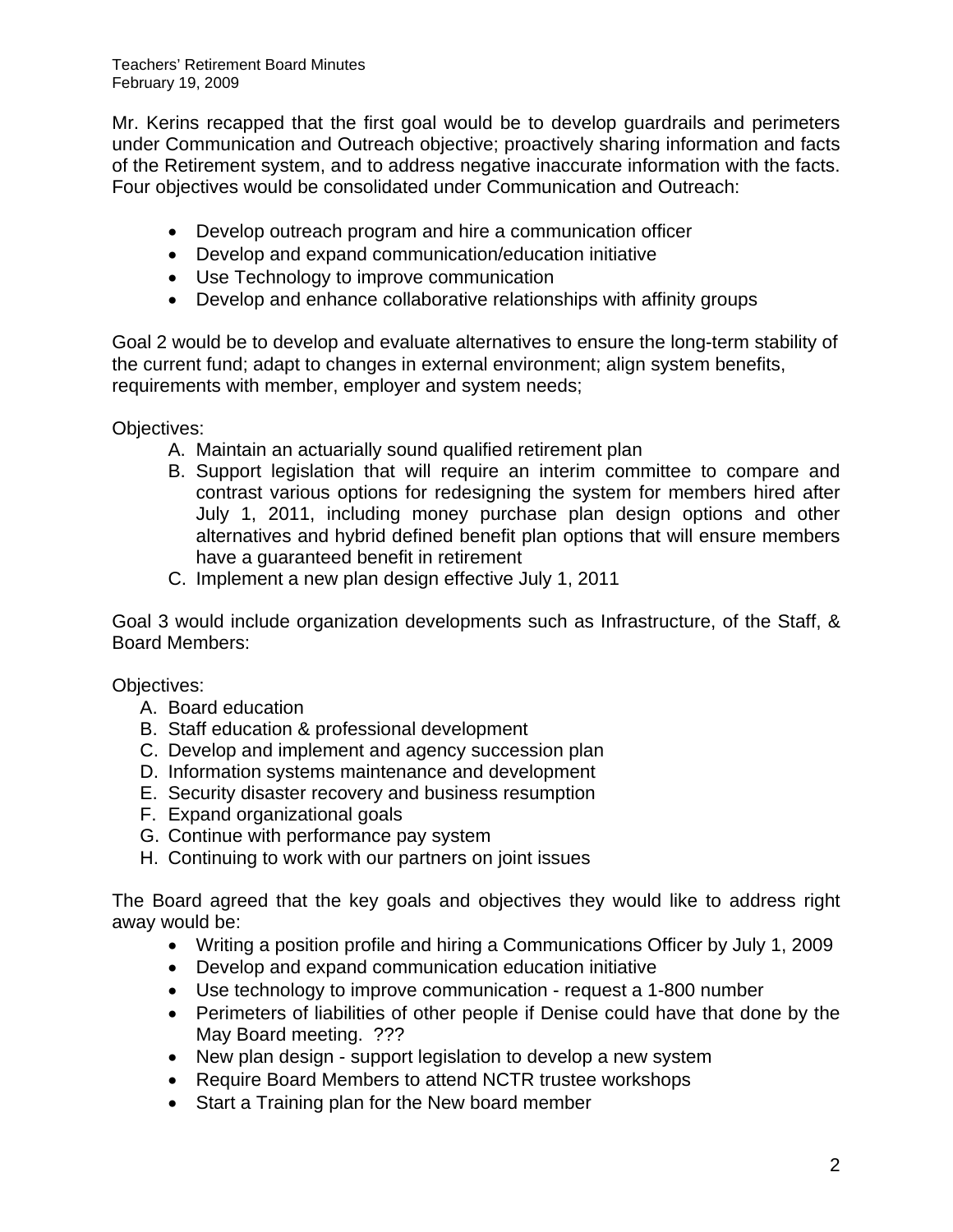Teachers' Retirement Board Minutes February 19, 2009

Mr. Kerins recapped that the first goal would be to develop guardrails and perimeters under Communication and Outreach objective; proactively sharing information and facts of the Retirement system, and to address negative inaccurate information with the facts. Four objectives would be consolidated under Communication and Outreach:

- Develop outreach program and hire a communication officer
- Develop and expand communication/education initiative
- Use Technology to improve communication
- Develop and enhance collaborative relationships with affinity groups

Goal 2 would be to develop and evaluate alternatives to ensure the long-term stability of the current fund; adapt to changes in external environment; align system benefits, requirements with member, employer and system needs;

Objectives:

- A. Maintain an actuarially sound qualified retirement plan
- B. Support legislation that will require an interim committee to compare and contrast various options for redesigning the system for members hired after July 1, 2011, including money purchase plan design options and other alternatives and hybrid defined benefit plan options that will ensure members have a guaranteed benefit in retirement
- C. Implement a new plan design effective July 1, 2011

Goal 3 would include organization developments such as Infrastructure, of the Staff, & Board Members:

Objectives:

- A. Board education
- B. Staff education & professional development
- C. Develop and implement and agency succession plan
- D. Information systems maintenance and development
- E. Security disaster recovery and business resumption
- F. Expand organizational goals
- G. Continue with performance pay system
- H. Continuing to work with our partners on joint issues

The Board agreed that the key goals and objectives they would like to address right away would be:

- Writing a position profile and hiring a Communications Officer by July 1, 2009
- Develop and expand communication education initiative
- Use technology to improve communication request a 1-800 number
- Perimeters of liabilities of other people if Denise could have that done by the May Board meeting. ???
- New plan design support legislation to develop a new system
- Require Board Members to attend NCTR trustee workshops
- Start a Training plan for the New board member